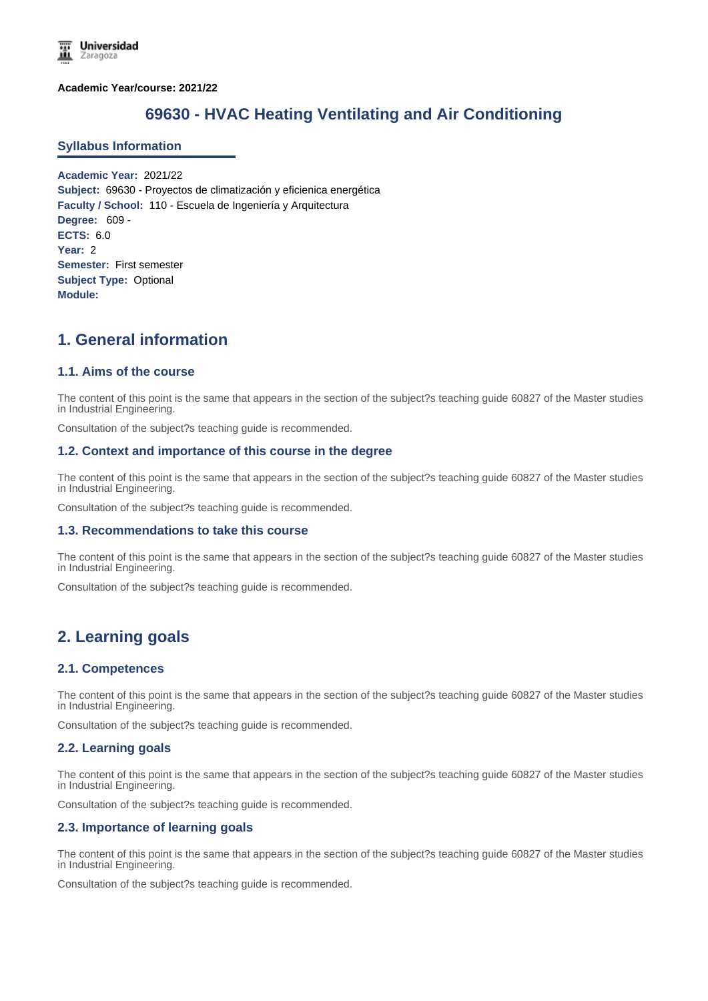**Academic Year/course: 2021/22**

# **69630 - HVAC Heating Ventilating and Air Conditioning**

#### **Syllabus Information**

**Academic Year:** 2021/22 **Subject:** 69630 - Proyectos de climatización y eficienica energética **Faculty / School:** 110 - Escuela de Ingeniería y Arquitectura **Degree:** 609 - **ECTS:** 6.0 **Year:** 2 **Semester:** First semester **Subject Type:** Optional **Module:**

# **1. General information**

## **1.1. Aims of the course**

The content of this point is the same that appears in the section of the subject?s teaching guide 60827 of the Master studies in Industrial Engineering.

Consultation of the subject?s teaching guide is recommended.

#### **1.2. Context and importance of this course in the degree**

The content of this point is the same that appears in the section of the subject?s teaching guide 60827 of the Master studies in Industrial Engineering.

Consultation of the subject?s teaching guide is recommended.

#### **1.3. Recommendations to take this course**

The content of this point is the same that appears in the section of the subject?s teaching guide 60827 of the Master studies in Industrial Engineering.

Consultation of the subject?s teaching guide is recommended.

## **2. Learning goals**

#### **2.1. Competences**

The content of this point is the same that appears in the section of the subject?s teaching guide 60827 of the Master studies in Industrial Engineering.

Consultation of the subject?s teaching guide is recommended.

#### **2.2. Learning goals**

The content of this point is the same that appears in the section of the subject?s teaching guide 60827 of the Master studies in Industrial Engineering.

Consultation of the subject?s teaching guide is recommended.

#### **2.3. Importance of learning goals**

The content of this point is the same that appears in the section of the subject?s teaching guide 60827 of the Master studies in Industrial Engineering.

Consultation of the subject?s teaching guide is recommended.